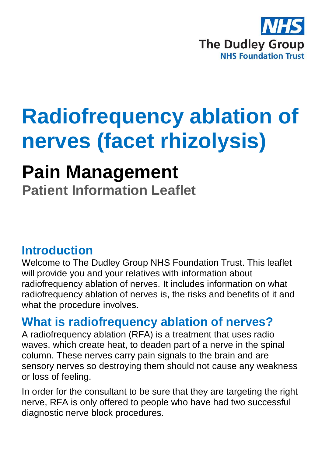

# **Radiofrequency ablation of nerves (facet rhizolysis)**

## **Pain Management**

**Patient Information Leaflet**

### **Introduction**

Welcome to The Dudley Group NHS Foundation Trust. This leaflet will provide you and your relatives with information about radiofrequency ablation of nerves. It includes information on what radiofrequency ablation of nerves is, the risks and benefits of it and what the procedure involves.

### **What is radiofrequency ablation of nerves?**

A radiofrequency ablation (RFA) is a treatment that uses radio waves, which create heat, to deaden part of a nerve in the spinal column. These nerves carry pain signals to the brain and are sensory nerves so destroying them should not cause any weakness or loss of feeling.

In order for the consultant to be sure that they are targeting the right nerve, RFA is only offered to people who have had two successful diagnostic nerve block procedures.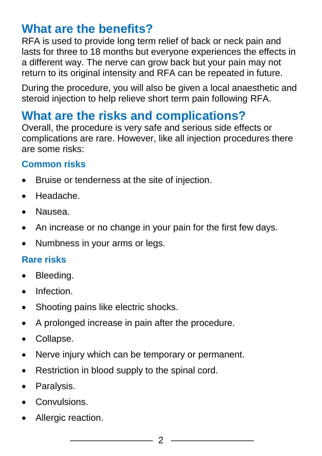### **What are the benefits?**

RFA is used to provide long term relief of back or neck pain and lasts for three to 18 months but everyone experiences the effects in a different way. The nerve can grow back but your pain may not return to its original intensity and RFA can be repeated in future.

During the procedure, you will also be given a local anaesthetic and steroid injection to help relieve short term pain following RFA.

### **What are the risks and complications?**

Overall, the procedure is very safe and serious side effects or complications are rare. However, like all injection procedures there are some risks:

#### **Common risks**

- Bruise or tenderness at the site of injection.
- Headache.
- Nausea.
- An increase or no change in your pain for the first few days.
- Numbness in your arms or legs.

#### **Rare risks**

- Bleeding.
- Infection.
- Shooting pains like electric shocks.
- A prolonged increase in pain after the procedure.
- Collapse.
- Nerve injury which can be temporary or permanent.
- Restriction in blood supply to the spinal cord.
- Paralysis.
- **Convulsions**
- Allergic reaction.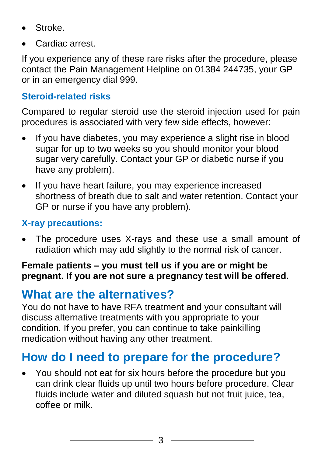- Stroke.
- Cardiac arrest.

If you experience any of these rare risks after the procedure, please contact the Pain Management Helpline on 01384 244735, your GP or in an emergency dial 999.

#### **Steroid-related risks**

Compared to regular steroid use the steroid injection used for pain procedures is associated with very few side effects, however:

- If you have diabetes, you may experience a slight rise in blood sugar for up to two weeks so you should monitor your blood sugar very carefully. Contact your GP or diabetic nurse if you have any problem).
- If you have heart failure, you may experience increased shortness of breath due to salt and water retention. Contact your GP or nurse if you have any problem).

#### **X-ray precautions:**

 The procedure uses X-rays and these use a small amount of radiation which may add slightly to the normal risk of cancer.

#### **Female patients – you must tell us if you are or might be pregnant. If you are not sure a pregnancy test will be offered.**

### **What are the alternatives?**

You do not have to have RFA treatment and your consultant will discuss alternative treatments with you appropriate to your condition. If you prefer, you can continue to take painkilling medication without having any other treatment.

### **How do I need to prepare for the procedure?**

 You should not eat for six hours before the procedure but you can drink clear fluids up until two hours before procedure. Clear fluids include water and diluted squash but not fruit juice, tea, coffee or milk.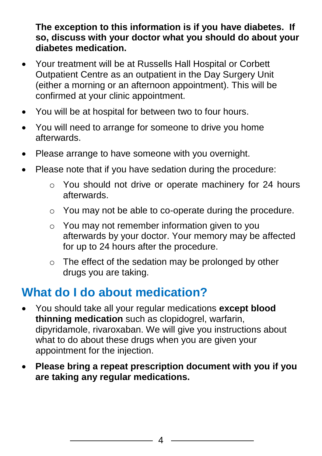**The exception to this information is if you have diabetes. If so, discuss with your doctor what you should do about your diabetes medication.**

- Your treatment will be at Russells Hall Hospital or Corbett Outpatient Centre as an outpatient in the Day Surgery Unit (either a morning or an afternoon appointment). This will be confirmed at your clinic appointment.
- You will be at hospital for between two to four hours.
- You will need to arrange for someone to drive you home afterwards.
- Please arrange to have someone with you overnight.
- Please note that if you have sedation during the procedure:
	- o You should not drive or operate machinery for 24 hours afterwards.
	- o You may not be able to co-operate during the procedure.
	- o You may not remember information given to you afterwards by your doctor. Your memory may be affected for up to 24 hours after the procedure.
	- o The effect of the sedation may be prolonged by other drugs you are taking.

### **What do I do about medication?**

- You should take all your regular medications **except blood thinning medication** such as clopidogrel, warfarin, dipyridamole, rivaroxaban. We will give you instructions about what to do about these drugs when you are given your appointment for the injection.
- **Please bring a repeat prescription document with you if you are taking any regular medications.**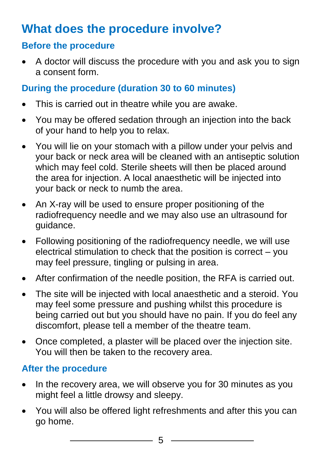### **What does the procedure involve?**

#### **Before the procedure**

 A doctor will discuss the procedure with you and ask you to sign a consent form.

#### **During the procedure (duration 30 to 60 minutes)**

- This is carried out in theatre while you are awake.
- You may be offered sedation through an injection into the back of your hand to help you to relax.
- You will lie on your stomach with a pillow under your pelvis and your back or neck area will be cleaned with an antiseptic solution which may feel cold. Sterile sheets will then be placed around the area for injection. A local anaesthetic will be injected into your back or neck to numb the area.
- An X-ray will be used to ensure proper positioning of the radiofrequency needle and we may also use an ultrasound for guidance.
- Following positioning of the radiofrequency needle, we will use electrical stimulation to check that the position is correct – you may feel pressure, tingling or pulsing in area.
- After confirmation of the needle position, the RFA is carried out.
- The site will be injected with local anaesthetic and a steroid. You may feel some pressure and pushing whilst this procedure is being carried out but you should have no pain. If you do feel any discomfort, please tell a member of the theatre team.
- Once completed, a plaster will be placed over the injection site. You will then be taken to the recovery area.

#### **After the procedure**

- In the recovery area, we will observe you for 30 minutes as you might feel a little drowsy and sleepy.
- You will also be offered light refreshments and after this you can go home.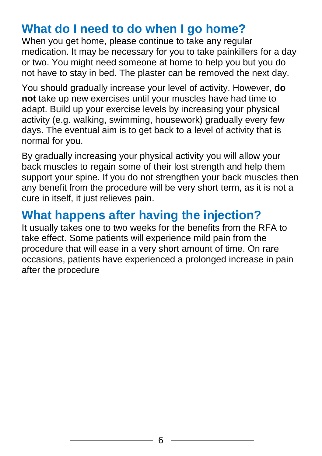### **What do I need to do when I go home?**

When you get home, please continue to take any regular medication. It may be necessary for you to take painkillers for a day or two. You might need someone at home to help you but you do not have to stay in bed. The plaster can be removed the next day.

You should gradually increase your level of activity. However, **do not** take up new exercises until your muscles have had time to adapt. Build up your exercise levels by increasing your physical activity (e.g. walking, swimming, housework) gradually every few days. The eventual aim is to get back to a level of activity that is normal for you.

By gradually increasing your physical activity you will allow your back muscles to regain some of their lost strength and help them support your spine. If you do not strengthen your back muscles then any benefit from the procedure will be very short term, as it is not a cure in itself, it just relieves pain.

### **What happens after having the injection?**

It usually takes one to two weeks for the benefits from the RFA to take effect. Some patients will experience mild pain from the procedure that will ease in a very short amount of time. On rare occasions, patients have experienced a prolonged increase in pain after the procedure